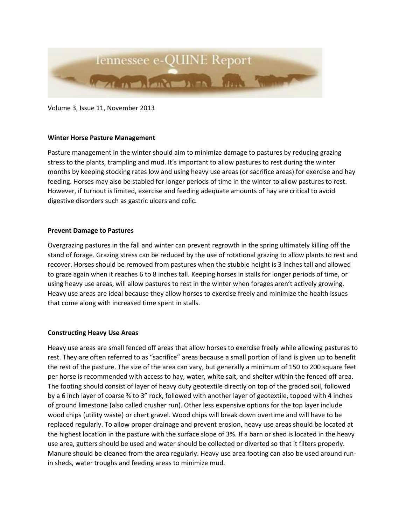

Volume 3, Issue 11, November 2013

## **Winter Horse Pasture Management**

Pasture management in the winter should aim to minimize damage to pastures by reducing grazing stress to the plants, trampling and mud. It's important to allow pastures to rest during the winter months by keeping stocking rates low and using heavy use areas (or sacrifice areas) for exercise and hay feeding. Horses may also be stabled for longer periods of time in the winter to allow pastures to rest. However, if turnout is limited, exercise and feeding adequate amounts of hay are critical to avoid digestive disorders such as gastric ulcers and colic.

## **Prevent Damage to Pastures**

Overgrazing pastures in the fall and winter can prevent regrowth in the spring ultimately killing off the stand of forage. Grazing stress can be reduced by the use of rotational grazing to allow plants to rest and recover. Horses should be removed from pastures when the stubble height is 3 inches tall and allowed to graze again when it reaches 6 to 8 inches tall. Keeping horses in stalls for longer periods of time, or using heavy use areas, will allow pastures to rest in the winter when forages aren't actively growing. Heavy use areas are ideal because they allow horses to exercise freely and minimize the health issues that come along with increased time spent in stalls.

## **Constructing Heavy Use Areas**

Heavy use areas are small fenced off areas that allow horses to exercise freely while allowing pastures to rest. They are often referred to as "sacrifice" areas because a small portion of land is given up to benefit the rest of the pasture. The size of the area can vary, but generally a minimum of 150 to 200 square feet per horse is recommended with access to hay, water, white salt, and shelter within the fenced off area. The footing should consist of layer of heavy duty geotextile directly on top of the graded soil, followed by a 6 inch layer of coarse ¾ to 3" rock, followed with another layer of geotextile, topped with 4 inches of ground limestone (also called crusher run). Other less expensive options for the top layer include wood chips (utility waste) or chert gravel. Wood chips will break down overtime and will have to be replaced regularly. To allow proper drainage and prevent erosion, heavy use areas should be located at the highest location in the pasture with the surface slope of 3%. If a barn or shed is located in the heavy use area, gutters should be used and water should be collected or diverted so that it filters properly. Manure should be cleaned from the area regularly. Heavy use area footing can also be used around runin sheds, water troughs and feeding areas to minimize mud.